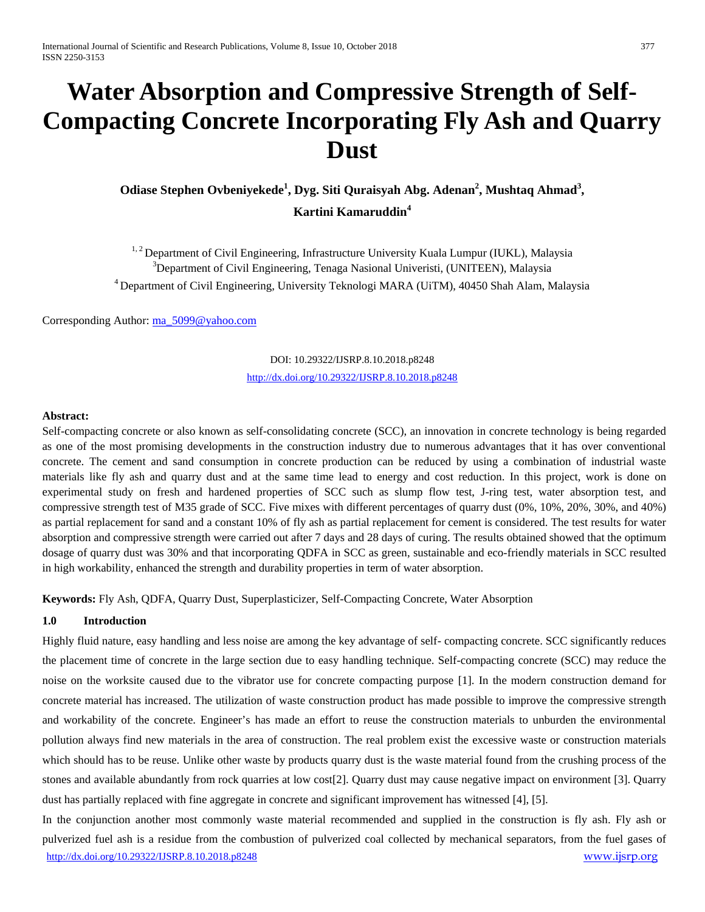# **Water Absorption and Compressive Strength of Self-Compacting Concrete Incorporating Fly Ash and Quarry Dust**

# **Odiase Stephen Ovbeniyekede1 , Dyg. Siti Quraisyah Abg. Adenan<sup>2</sup> , Mushtaq Ahmad<sup>3</sup> , Kartini Kamaruddin<sup>4</sup>**

<sup>1, 2</sup> Department of Civil Engineering, Infrastructure University Kuala Lumpur (IUKL), Malaysia <sup>3</sup>Department of Civil Engineering, Tenaga Nasional Univeristi, (UNITEEN), Malaysia 4 Department of Civil Engineering, University Teknologi MARA (UiTM), 40450 Shah Alam, Malaysia

Corresponding Author: [ma\\_5099@yahoo.com](mailto:ma_5099@yahoo.com)

# DOI: 10.29322/IJSRP.8.10.2018.p8248 <http://dx.doi.org/10.29322/IJSRP.8.10.2018.p8248>

#### **Abstract:**

Self-compacting concrete or also known as self-consolidating concrete (SCC), an innovation in concrete technology is being regarded as one of the most promising developments in the construction industry due to numerous advantages that it has over conventional concrete. The cement and sand consumption in concrete production can be reduced by using a combination of industrial waste materials like fly ash and quarry dust and at the same time lead to energy and cost reduction. In this project, work is done on experimental study on fresh and hardened properties of SCC such as slump flow test, J-ring test, water absorption test, and compressive strength test of M35 grade of SCC. Five mixes with different percentages of quarry dust (0%, 10%, 20%, 30%, and 40%) as partial replacement for sand and a constant 10% of fly ash as partial replacement for cement is considered. The test results for water absorption and compressive strength were carried out after 7 days and 28 days of curing. The results obtained showed that the optimum dosage of quarry dust was 30% and that incorporating QDFA in SCC as green, sustainable and eco-friendly materials in SCC resulted in high workability, enhanced the strength and durability properties in term of water absorption.

**Keywords:** Fly Ash, QDFA, Quarry Dust, Superplasticizer, Self-Compacting Concrete, Water Absorption

# **1.0 Introduction**

Highly fluid nature, easy handling and less noise are among the key advantage of self- compacting concrete. SCC significantly reduces the placement time of concrete in the large section due to easy handling technique. Self-compacting concrete (SCC) may reduce the noise on the worksite caused due to the vibrator use for concrete compacting purpose [1]. In the modern construction demand for concrete material has increased. The utilization of waste construction product has made possible to improve the compressive strength and workability of the concrete. Engineer's has made an effort to reuse the construction materials to unburden the environmental pollution always find new materials in the area of construction. The real problem exist the excessive waste or construction materials which should has to be reuse. Unlike other waste by products quarry dust is the waste material found from the crushing process of the stones and available abundantly from rock quarries at low cost[2]. Quarry dust may cause negative impact on environment [3]. Quarry dust has partially replaced with fine aggregate in concrete and significant improvement has witnessed [4], [5].

<http://dx.doi.org/10.29322/IJSRP.8.10.2018.p8248>[www.ijsrp.org](http://ijsrp.org/) In the conjunction another most commonly waste material recommended and supplied in the construction is fly ash. Fly ash or pulverized fuel ash is a residue from the combustion of pulverized coal collected by mechanical separators, from the fuel gases of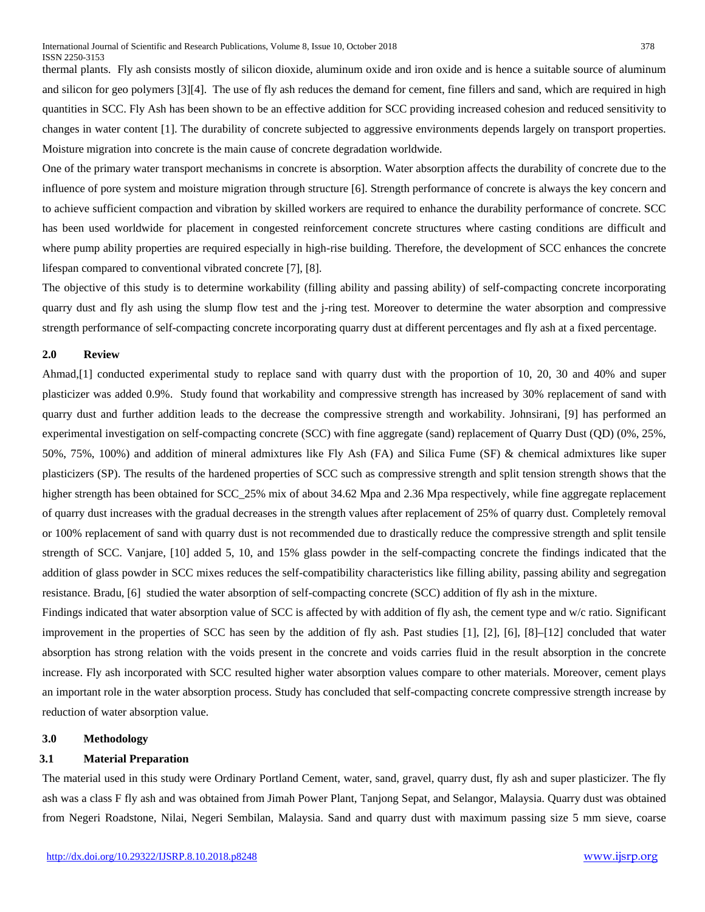thermal plants. Fly ash consists mostly of silicon dioxide, aluminum oxide and iron oxide and is hence a suitable source of aluminum and silicon for geo polymers [3][4]. The use of fly ash reduces the demand for cement, fine fillers and sand, which are required in high quantities in SCC. Fly Ash has been shown to be an effective addition for SCC providing increased cohesion and reduced sensitivity to changes in water content [1]. The durability of concrete subjected to aggressive environments depends largely on transport properties. Moisture migration into concrete is the main cause of concrete degradation worldwide.

One of the primary water transport mechanisms in concrete is absorption. Water absorption affects the durability of concrete due to the influence of pore system and moisture migration through structure [6]. Strength performance of concrete is always the key concern and to achieve sufficient compaction and vibration by skilled workers are required to enhance the durability performance of concrete. SCC has been used worldwide for placement in congested reinforcement concrete structures where casting conditions are difficult and where pump ability properties are required especially in high-rise building. Therefore, the development of SCC enhances the concrete lifespan compared to conventional vibrated concrete [7], [8].

The objective of this study is to determine workability (filling ability and passing ability) of self-compacting concrete incorporating quarry dust and fly ash using the slump flow test and the j-ring test. Moreover to determine the water absorption and compressive strength performance of self-compacting concrete incorporating quarry dust at different percentages and fly ash at a fixed percentage.

#### **2.0 Review**

Ahmad,[1] conducted experimental study to replace sand with quarry dust with the proportion of 10, 20, 30 and 40% and super plasticizer was added 0.9%. Study found that workability and compressive strength has increased by 30% replacement of sand with quarry dust and further addition leads to the decrease the compressive strength and workability. Johnsirani, [9] has performed an experimental investigation on self-compacting concrete (SCC) with fine aggregate (sand) replacement of Quarry Dust (QD) (0%, 25%, 50%, 75%, 100%) and addition of mineral admixtures like Fly Ash (FA) and Silica Fume (SF) & chemical admixtures like super plasticizers (SP). The results of the hardened properties of SCC such as compressive strength and split tension strength shows that the higher strength has been obtained for SCC\_25% mix of about 34.62 Mpa and 2.36 Mpa respectively, while fine aggregate replacement of quarry dust increases with the gradual decreases in the strength values after replacement of 25% of quarry dust. Completely removal or 100% replacement of sand with quarry dust is not recommended due to drastically reduce the compressive strength and split tensile strength of SCC. Vanjare, [10] added 5, 10, and 15% glass powder in the self-compacting concrete the findings indicated that the addition of glass powder in SCC mixes reduces the self-compatibility characteristics like filling ability, passing ability and segregation resistance. Bradu, [6] studied the water absorption of self-compacting concrete (SCC) addition of fly ash in the mixture.

Findings indicated that water absorption value of SCC is affected by with addition of fly ash, the cement type and w/c ratio. Significant improvement in the properties of SCC has seen by the addition of fly ash. Past studies [1], [2], [6], [8]–[12] concluded that water absorption has strong relation with the voids present in the concrete and voids carries fluid in the result absorption in the concrete increase. Fly ash incorporated with SCC resulted higher water absorption values compare to other materials. Moreover, cement plays an important role in the water absorption process. Study has concluded that self-compacting concrete compressive strength increase by reduction of water absorption value.

#### **3.0 Methodology**

# **3.1 Material Preparation**

The material used in this study were Ordinary Portland Cement, water, sand, gravel, quarry dust, fly ash and super plasticizer. The fly ash was a class F fly ash and was obtained from Jimah Power Plant, Tanjong Sepat, and Selangor, Malaysia. Quarry dust was obtained from Negeri Roadstone, Nilai, Negeri Sembilan, Malaysia. Sand and quarry dust with maximum passing size 5 mm sieve, coarse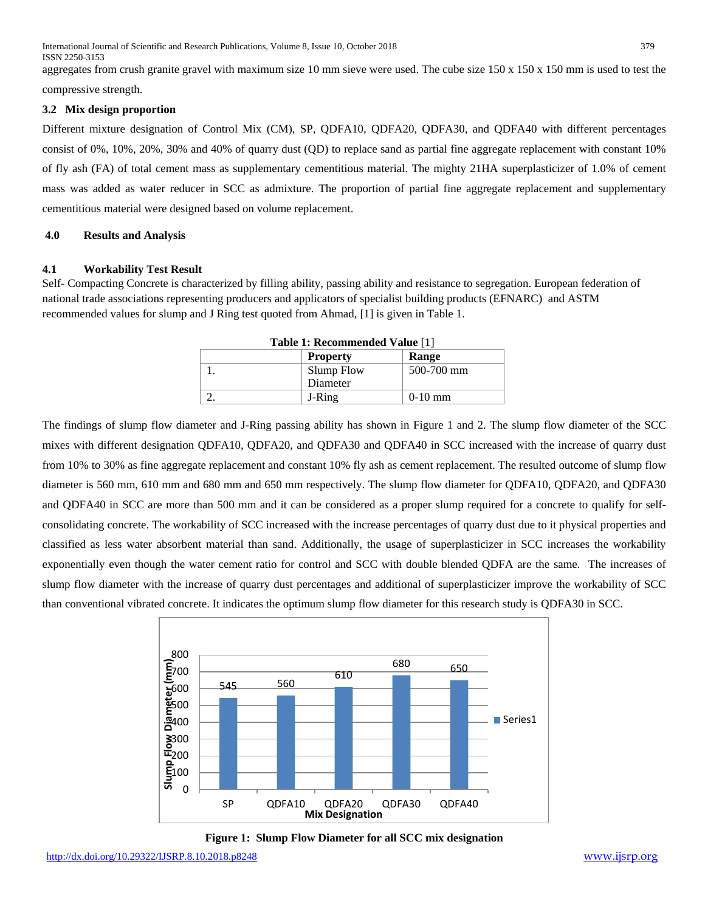International Journal of Scientific and Research Publications, Volume 8, Issue 10, October 2018 379 ISSN 2250-3153

aggregates from crush granite gravel with maximum size 10 mm sieve were used. The cube size 150 x 150 x 150 mm is used to test the compressive strength.

#### **3.2 Mix design proportion**

Different mixture designation of Control Mix (CM), SP, QDFA10, QDFA20, QDFA30, and QDFA40 with different percentages consist of 0%, 10%, 20%, 30% and 40% of quarry dust (QD) to replace sand as partial fine aggregate replacement with constant 10% of fly ash (FA) of total cement mass as supplementary cementitious material. The mighty 21HA superplasticizer of 1.0% of cement mass was added as water reducer in SCC as admixture. The proportion of partial fine aggregate replacement and supplementary cementitious material were designed based on volume replacement.

# **4.0 Results and Analysis**

#### **4.1 Workability Test Result**

Self- Compacting Concrete is characterized by filling ability, passing ability and resistance to segregation. European federation of national trade associations representing producers and applicators of specialist building products (EFNARC) and ASTM recommended values for slump and J Ring test quoted from Ahmad, [1] is given in Table 1.

| <b>Table 1: Recommended Value [1]</b> |                 |            |  |
|---------------------------------------|-----------------|------------|--|
|                                       | <b>Property</b> | Range      |  |
|                                       | Slump Flow      | 500-700 mm |  |
|                                       | Diameter        |            |  |
|                                       | J-Ring          | $0-10$ mm  |  |

The findings of slump flow diameter and J-Ring passing ability has shown in Figure 1 and 2. The slump flow diameter of the SCC mixes with different designation QDFA10, QDFA20, and QDFA30 and QDFA40 in SCC increased with the increase of quarry dust from 10% to 30% as fine aggregate replacement and constant 10% fly ash as cement replacement. The resulted outcome of slump flow diameter is 560 mm, 610 mm and 680 mm and 650 mm respectively. The slump flow diameter for QDFA10, QDFA20, and QDFA30 and QDFA40 in SCC are more than 500 mm and it can be considered as a proper slump required for a concrete to qualify for selfconsolidating concrete. The workability of SCC increased with the increase percentages of quarry dust due to it physical properties and classified as less water absorbent material than sand. Additionally, the usage of superplasticizer in SCC increases the workability exponentially even though the water cement ratio for control and SCC with double blended QDFA are the same. The increases of slump flow diameter with the increase of quarry dust percentages and additional of superplasticizer improve the workability of SCC than conventional vibrated concrete. It indicates the optimum slump flow diameter for this research study is QDFA30 in SCC.



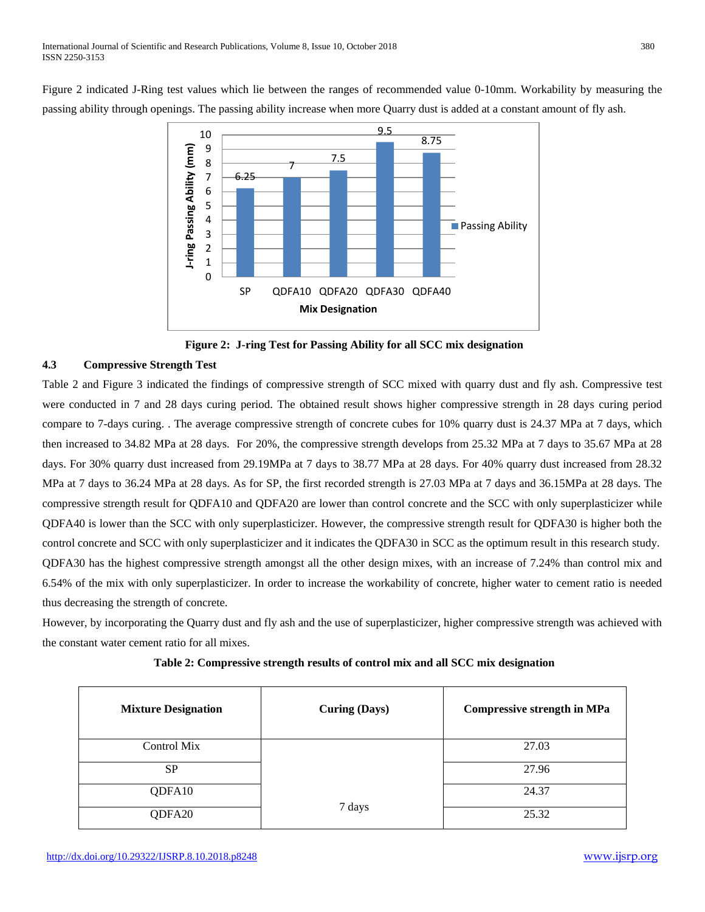Figure 2 indicated J-Ring test values which lie between the ranges of recommended value 0-10mm. Workability by measuring the passing ability through openings. The passing ability increase when more Quarry dust is added at a constant amount of fly ash.



**Figure 2: J-ring Test for Passing Ability for all SCC mix designation**

# **4.3 Compressive Strength Test**

Table 2 and Figure 3 indicated the findings of compressive strength of SCC mixed with quarry dust and fly ash. Compressive test were conducted in 7 and 28 days curing period. The obtained result shows higher compressive strength in 28 days curing period compare to 7-days curing. . The average compressive strength of concrete cubes for 10% quarry dust is 24.37 MPa at 7 days, which then increased to 34.82 MPa at 28 days. For 20%, the compressive strength develops from 25.32 MPa at 7 days to 35.67 MPa at 28 days. For 30% quarry dust increased from 29.19MPa at 7 days to 38.77 MPa at 28 days. For 40% quarry dust increased from 28.32 MPa at 7 days to 36.24 MPa at 28 days. As for SP, the first recorded strength is 27.03 MPa at 7 days and 36.15MPa at 28 days. The compressive strength result for QDFA10 and QDFA20 are lower than control concrete and the SCC with only superplasticizer while QDFA40 is lower than the SCC with only superplasticizer. However, the compressive strength result for QDFA30 is higher both the control concrete and SCC with only superplasticizer and it indicates the QDFA30 in SCC as the optimum result in this research study. QDFA30 has the highest compressive strength amongst all the other design mixes, with an increase of 7.24% than control mix and 6.54% of the mix with only superplasticizer. In order to increase the workability of concrete, higher water to cement ratio is needed thus decreasing the strength of concrete.

However, by incorporating the Quarry dust and fly ash and the use of superplasticizer, higher compressive strength was achieved with the constant water cement ratio for all mixes.

| Table 2: Compressive strength results of control mix and all SCC mix designation |  |  |
|----------------------------------------------------------------------------------|--|--|
|----------------------------------------------------------------------------------|--|--|

| <b>Mixture Designation</b> | <b>Curing (Days)</b> | <b>Compressive strength in MPa</b> |  |  |  |
|----------------------------|----------------------|------------------------------------|--|--|--|
| Control Mix                |                      | 27.03                              |  |  |  |
| <b>SP</b>                  |                      | 27.96                              |  |  |  |
| QDFA10                     |                      | 24.37                              |  |  |  |
| QDFA20                     | 7 days               | 25.32                              |  |  |  |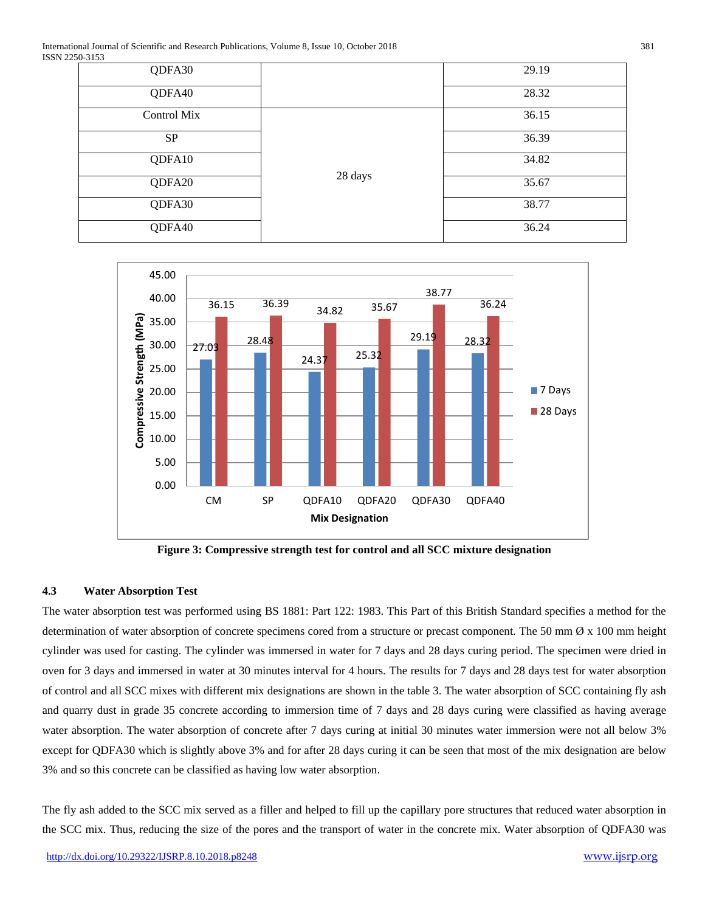International Journal of Scientific and Research Publications, Volume 8, Issue 10, October 2018 381 ISSN 2250-3153

| .           |         |       |
|-------------|---------|-------|
| QDFA30      |         | 29.19 |
| QDFA40      |         | 28.32 |
| Control Mix |         | 36.15 |
| <b>SP</b>   |         | 36.39 |
| QDFA10      |         | 34.82 |
| QDFA20      | 28 days | 35.67 |
| QDFA30      |         | 38.77 |
| QDFA40      |         | 36.24 |



**Figure 3: Compressive strength test for control and all SCC mixture designation**

### **4.3 Water Absorption Test**

The water absorption test was performed using BS 1881: Part 122: 1983. This Part of this British Standard specifies a method for the determination of water absorption of concrete specimens cored from a structure or precast component. The 50 mm  $\emptyset$  x 100 mm height cylinder was used for casting. The cylinder was immersed in water for 7 days and 28 days curing period. The specimen were dried in oven for 3 days and immersed in water at 30 minutes interval for 4 hours. The results for 7 days and 28 days test for water absorption of control and all SCC mixes with different mix designations are shown in the table 3. The water absorption of SCC containing fly ash and quarry dust in grade 35 concrete according to immersion time of 7 days and 28 days curing were classified as having average water absorption. The water absorption of concrete after 7 days curing at initial 30 minutes water immersion were not all below 3% except for QDFA30 which is slightly above 3% and for after 28 days curing it can be seen that most of the mix designation are below 3% and so this concrete can be classified as having low water absorption.

The fly ash added to the SCC mix served as a filler and helped to fill up the capillary pore structures that reduced water absorption in the SCC mix. Thus, reducing the size of the pores and the transport of water in the concrete mix. Water absorption of QDFA30 was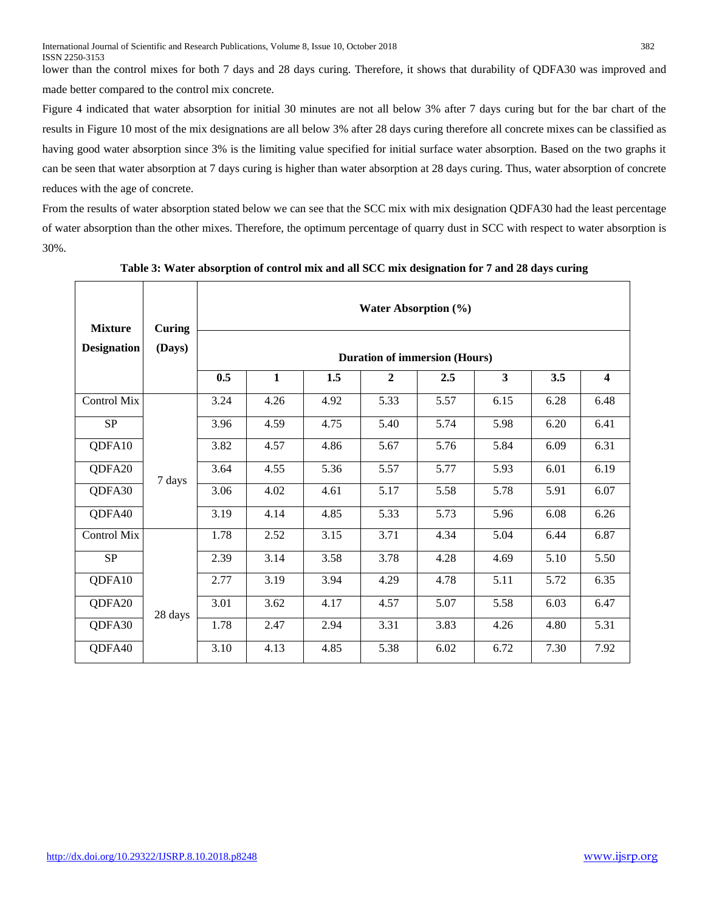lower than the control mixes for both 7 days and 28 days curing. Therefore, it shows that durability of QDFA30 was improved and made better compared to the control mix concrete.

Figure 4 indicated that water absorption for initial 30 minutes are not all below 3% after 7 days curing but for the bar chart of the results in Figure 10 most of the mix designations are all below 3% after 28 days curing therefore all concrete mixes can be classified as having good water absorption since 3% is the limiting value specified for initial surface water absorption. Based on the two graphs it can be seen that water absorption at 7 days curing is higher than water absorption at 28 days curing. Thus, water absorption of concrete reduces with the age of concrete.

From the results of water absorption stated below we can see that the SCC mix with mix designation QDFA30 had the least percentage of water absorption than the other mixes. Therefore, the optimum percentage of quarry dust in SCC with respect to water absorption is 30%.

| <b>Mixture</b>     | Curing<br>(Days)  | <b>Water Absorption</b> (%)<br><b>Duration of immersion (Hours)</b> |              |      |              |      |      |      |                         |
|--------------------|-------------------|---------------------------------------------------------------------|--------------|------|--------------|------|------|------|-------------------------|
| <b>Designation</b> |                   |                                                                     |              |      |              |      |      |      |                         |
|                    |                   | 0.5                                                                 | $\mathbf{1}$ | 1.5  | $\mathbf{2}$ | 2.5  | 3    | 3.5  | $\overline{\mathbf{4}}$ |
| Control Mix        |                   | 3.24                                                                | 4.26         | 4.92 | 5.33         | 5.57 | 6.15 | 6.28 | 6.48                    |
| <b>SP</b>          |                   | 3.96                                                                | 4.59         | 4.75 | 5.40         | 5.74 | 5.98 | 6.20 | 6.41                    |
| QDFA10             |                   | 3.82                                                                | 4.57         | 4.86 | 5.67         | 5.76 | 5.84 | 6.09 | 6.31                    |
| QDFA20             |                   | 3.64                                                                | 4.55         | 5.36 | 5.57         | 5.77 | 5.93 | 6.01 | 6.19                    |
| QDFA30             | 7 days<br>28 days | 3.06                                                                | 4.02         | 4.61 | 5.17         | 5.58 | 5.78 | 5.91 | 6.07                    |
| QDFA40             |                   | 3.19                                                                | 4.14         | 4.85 | 5.33         | 5.73 | 5.96 | 6.08 | 6.26                    |
| <b>Control Mix</b> |                   | 1.78                                                                | 2.52         | 3.15 | 3.71         | 4.34 | 5.04 | 6.44 | 6.87                    |
| <b>SP</b>          |                   | 2.39                                                                | 3.14         | 3.58 | 3.78         | 4.28 | 4.69 | 5.10 | 5.50                    |
| QDFA10             |                   | 2.77                                                                | 3.19         | 3.94 | 4.29         | 4.78 | 5.11 | 5.72 | 6.35                    |
| QDFA20             |                   | 3.01                                                                | 3.62         | 4.17 | 4.57         | 5.07 | 5.58 | 6.03 | 6.47                    |
| QDFA30             |                   | 1.78                                                                | 2.47         | 2.94 | 3.31         | 3.83 | 4.26 | 4.80 | 5.31                    |
| QDFA40             |                   | 3.10                                                                | 4.13         | 4.85 | 5.38         | 6.02 | 6.72 | 7.30 | 7.92                    |
|                    |                   |                                                                     |              |      |              |      |      |      |                         |

# **Table 3: Water absorption of control mix and all SCC mix designation for 7 and 28 days curing**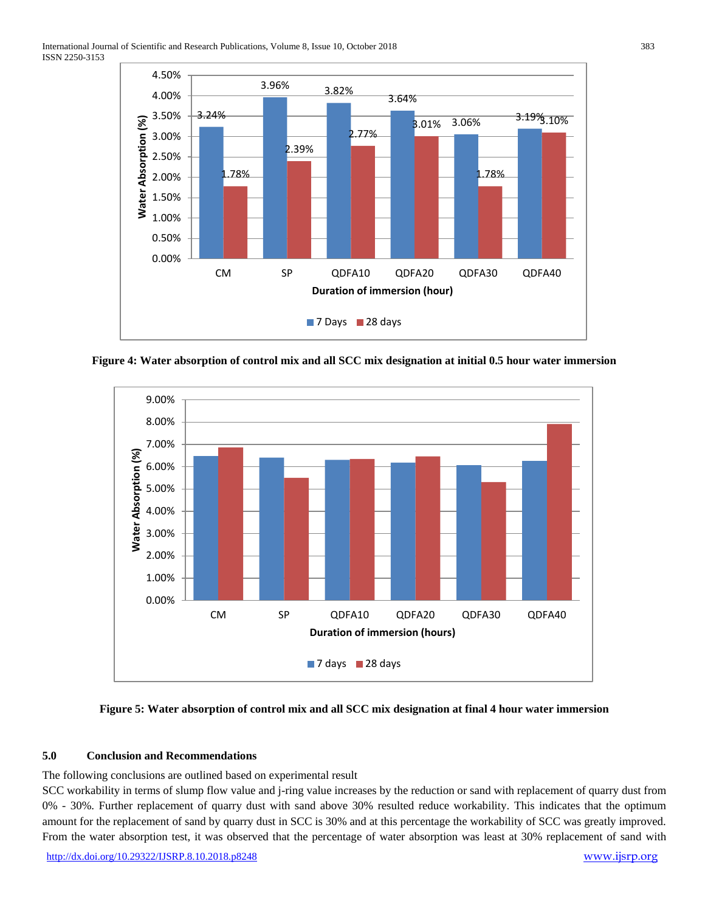

**Figure 4: Water absorption of control mix and all SCC mix designation at initial 0.5 hour water immersion**



### **Figure 5: Water absorption of control mix and all SCC mix designation at final 4 hour water immersion**

### **5.0 Conclusion and Recommendations**

The following conclusions are outlined based on experimental result

SCC workability in terms of slump flow value and j-ring value increases by the reduction or sand with replacement of quarry dust from 0% - 30%. Further replacement of quarry dust with sand above 30% resulted reduce workability. This indicates that the optimum amount for the replacement of sand by quarry dust in SCC is 30% and at this percentage the workability of SCC was greatly improved. From the water absorption test, it was observed that the percentage of water absorption was least at 30% replacement of sand with